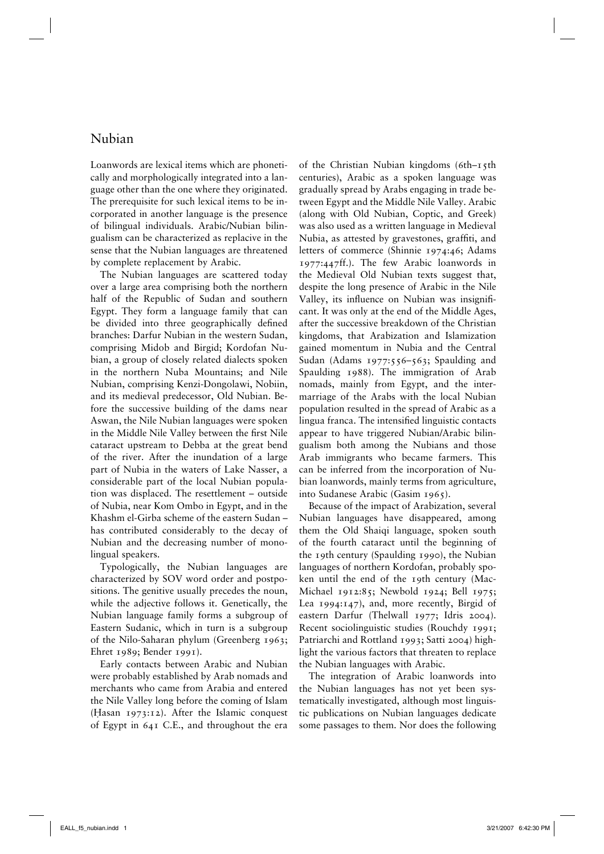## Nubian

Loanwords are lexical items which are phonetically and morphologically integrated into a language other than the one where they originated. The prerequisite for such lexical items to be incorporated in another language is the presence of bilingual individuals. Arabic/Nubian bilingualism can be characterized as replacive in the sense that the Nubian languages are threatened by complete replacement by Arabic.

The Nubian languages are scattered today over a large area comprising both the northern half of the Republic of Sudan and southern Egypt. They form a language family that can be divided into three geographically defined branches: Darfur Nubian in the western Sudan, comprising Midob and Birgid; Kordofan Nubian, a group of closely related dialects spoken in the northern Nuba Mountains; and Nile Nubian, comprising Kenzi-Dongolawi, Nobiin, and its medieval predecessor, Old Nubian. Before the successive building of the dams near Aswan, the Nile Nubian languages were spoken in the Middle Nile Valley between the first Nile cataract upstream to Debba at the great bend of the river. After the inundation of a large part of Nubia in the waters of Lake Nasser, a considerable part of the local Nubian population was displaced. The resettlement – outside of Nubia, near Kom Ombo in Egypt, and in the Khashm el-Girba scheme of the eastern Sudan – has contributed considerably to the decay of Nubian and the decreasing number of monolingual speakers.

Typologically, the Nubian languages are characterized by SOV word order and postpositions. The genitive usually precedes the noun, while the adjective follows it. Genetically, the Nubian language family forms a subgroup of Eastern Sudanic, which in turn is a subgroup of the Nilo-Saharan phylum (Greenberg 1963; Ehret 1989; Bender 1991).

Early contacts between Arabic and Nubian were probably established by Arab nomads and merchants who came from Arabia and entered the Nile Valley long before the coming of Islam  $(Hasan_1973:12)$ . After the Islamic conquest of Egypt in 641 C.E., and throughout the era

of the Christian Nubian kingdoms (6th–15th centuries), Arabic as a spoken language was gradually spread by Arabs engaging in trade between Egypt and the Middle Nile Valley. Arabic (along with Old Nubian, Coptic, and Greek) was also used as a written language in Medieval Nubia, as attested by gravestones, graffiti, and letters of commerce (Shinnie 1974:46; Adams 1977:447ff.). The few Arabic loanwords in the Medieval Old Nubian texts suggest that, despite the long presence of Arabic in the Nile Valley, its influence on Nubian was insignificant. It was only at the end of the Middle Ages, after the successive breakdown of the Christian kingdoms, that Arabization and Islamization gained momentum in Nubia and the Central Sudan (Adams 1977:556–563; Spaulding and Spaulding 1988). The immigration of Arab nomads, mainly from Egypt, and the intermarriage of the Arabs with the local Nubian population resulted in the spread of Arabic as a lingua franca. The intensified linguistic contacts appear to have triggered Nubian/Arabic bilingualism both among the Nubians and those Arab immigrants who became farmers. This can be inferred from the incorporation of Nubian loanwords, mainly terms from agriculture, into Sudanese Arabic (Gasim 1965).

Because of the impact of Arabization, several Nubian languages have disappeared, among them the Old Shaiqi language, spoken south of the fourth cataract until the beginning of the 19th century (Spaulding 1990), the Nubian languages of northern Kordofan, probably spoken until the end of the 19th century (Mac-Michael 1912:85; Newbold 1924; Bell 1975; Lea 1994:147), and, more recently, Birgid of eastern Darfur (Thelwall 1977; Idris 2004). Recent sociolinguistic studies (Rouchdy 1991; Patriarchi and Rottland 1993; Satti 2004) highlight the various factors that threaten to replace the Nubian languages with Arabic.

The integration of Arabic loanwords into the Nubian languages has not yet been systematically investigated, although most linguistic publications on Nubian languages dedicate some passages to them. Nor does the following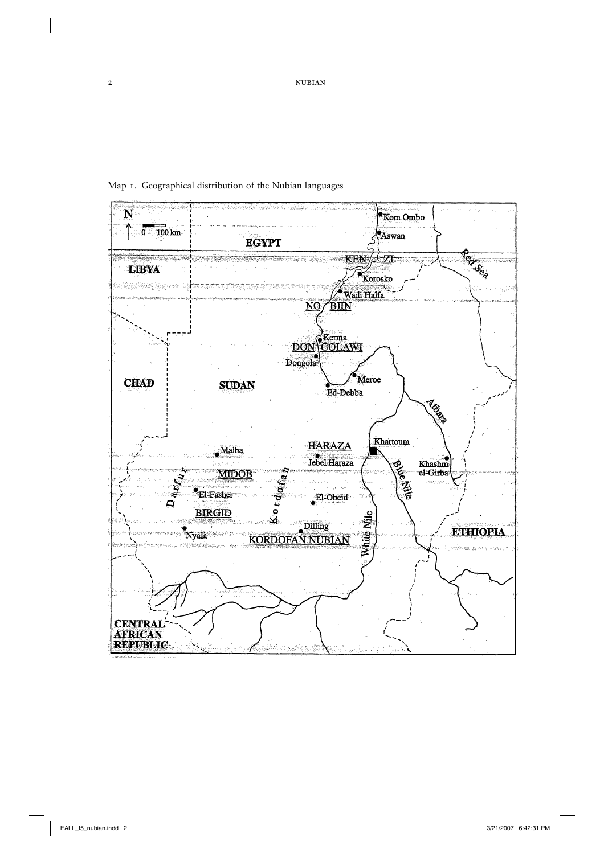N Kom Ombo  $0 - 100$  km  $\left\langle \!\! {\rm \bullet}_{\rm Aswan} \right\rangle$ **EGYPT** Terres KEN 7 **LIBYA** Korosko V. Robert yn de  $\sim$  Wadi Halfa  $\sqrt{\text{BIN}}$  $\overline{\text{NO}}$ DON GKerma Dongola Meroe **CHAD SUDAN** Ed-Debba **Algela** Khartoum **HARAZA** Malha  $Jebel Haraza$ Khashm<br>el-Girba **PARTIES MIDOB**  $K$ ordo $r_a$ ್ಮ<br>ನ **El-Fasher** El-Obeid  $\mathbf{Q}$ **BIRGID** White Nile  $\begin{tabular}{c} $\times$ &   
   
   
   
 KORDOFAN NUBIAN \end{tabular}$ ·<br>Nyala **ETHIOPIA CENTRAL**<br>AFRICAN<br>REPUBLIC

Map 1. Geographical distribution of the Nubian languages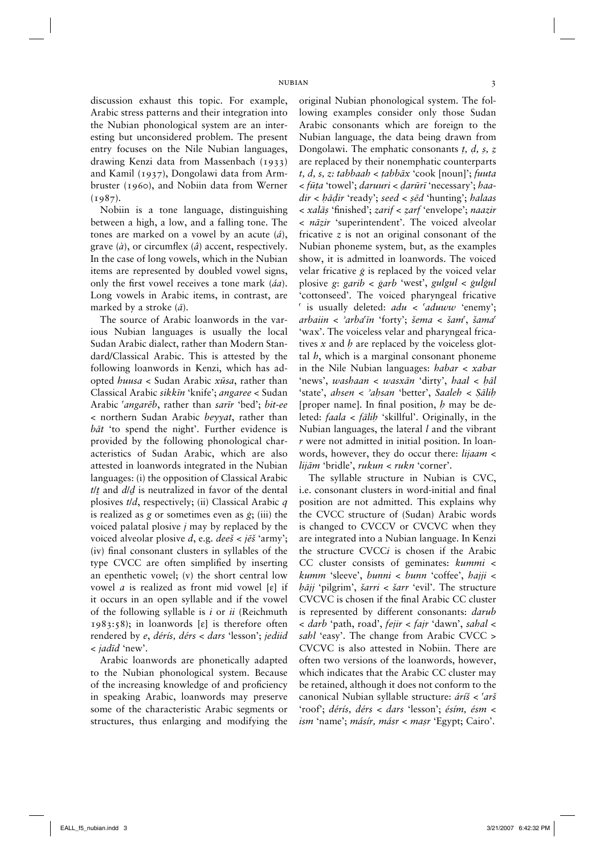discussion exhaust this topic. For example, Arabic stress patterns and their integration into the Nubian phonological system are an interesting but unconsidered problem. The present entry focuses on the Nile Nubian languages, drawing Kenzi data from Massenbach (1933) and Kamil (1937), Dongolawi data from Armbruster (1960), and Nobiin data from Werner  $(1987)$ .

Nobiin is a tone language, distinguishing between a high, a low, and a falling tone. The tones are marked on a vowel by an acute (*á*), grave (*à*), or circumflex (*â*) accent, respectively. In the case of long vowels, which in the Nubian items are represented by doubled vowel signs, only the first vowel receives a tone mark (*áa*). Long vowels in Arabic items, in contrast, are marked by a stroke (*à*).

The source of Arabic loanwords in the various Nubian languages is usually the local Sudan Arabic dialect, rather than Modern Standard/Classical Arabic. This is attested by the following loanwords in Kenzi, which has adopted *huusa* < Sudan Arabic *xùsa*, rather than Classical Arabic *sikkìn* 'knife'; *angaree* < Sudan Arabic *≠angarèb*, rather than *sarìr* 'bed'; *bit-ee*  < northern Sudan Arabic *beyyat*, rather than *bàt* 'to spend the night'. Further evidence is provided by the following phonological characteristics of Sudan Arabic, which are also attested in loanwords integrated in the Nubian languages: (i) the opposition of Classical Arabic *t*/*µ* and *d*/*≈* is neutralized in favor of the dental plosives *t*/*d*, respectively; (ii) Classical Arabic *q*  is realized as *g* or sometimes even as *ÿ*; (iii) the voiced palatal plosive *j* may by replaced by the voiced alveolar plosive *d*, e.g. *deeš* < *jèš* 'army'; (iv) final consonant clusters in syllables of the type CVCC are often simplified by inserting an epenthetic vowel; (v) the short central low vowel *a* is realized as front mid vowel [Æ] if it occurs in an open syllable and if the vowel of the following syllable is *i* or *ii* (Reichmuth 1983:58); in loanwords  $[\varepsilon]$  is therefore often rendered by *e*, *dérís, dérs* < *dars* 'lesson'; *jediid*  < *jadìd* 'new'.

Arabic loanwords are phonetically adapted to the Nubian phonological system. Because of the increasing knowledge of and proficiency in speaking Arabic, loanwords may preserve some of the characteristic Arabic segments or structures, thus enlarging and modifying the original Nubian phonological system. The following examples consider only those Sudan Arabic consonants which are foreign to the Nubian language, the data being drawn from Dongolawi. The emphatic consonants *†, ∂, ß, Ω* are replaced by their nonemphatic counterparts *t, d, s, z: tabbaah* < *†abbàx* 'cook [noun]'; *fuuta*  < *fù†a* 'towel'; *daruuri* < *∂arùrì* 'necessary'; *haadir < hādir* 'ready'; *seed < sēd* 'hunting'; *halaas* < *xalàß* 'finished'; *zarif* < *Ωarf* 'envelope'; *naazir*  < *nàΩir* 'superintendent'. The voiced alveolar fricative *z* is not an original consonant of the Nubian phoneme system, but, as the examples show, it is admitted in loanwords. The voiced velar fricative *ÿ* is replaced by the voiced velar plosive *g*: *garib* < *ÿarb* 'west', *gulgul* < *ÿulÿul* 'cottonseed'. The voiced pharyngeal fricative *≠* is usually deleted: *adu* < *≠aduww* 'enemy'; *arbaiin* < *±arba≠ìn* 'forty'; *šema* < *šam≠*, *šama≠* 'wax'. The voiceless velar and pharyngeal fricatives *x* and *h* are replaced by the voiceless glottal *h*, which is a marginal consonant phoneme in the Nile Nubian languages: *habar* < *xabar* 'news', *washaan* < *wasxàn* 'dirty', *haal* < *™àl* 'state', *ahsen* < *±a™san* 'better', *Saaleh* < *Íàli™* [proper name]. In final position, *h* may be deleted: *faala* < *fàli™* 'skillful'. Originally, in the Nubian languages, the lateral *l* and the vibrant *r* were not admitted in initial position. In loanwords, however, they do occur there: *lijaam* < *lijàm* 'bridle', *rukun < rukn* 'corner'.

The syllable structure in Nubian is CVC, i.e. consonant clusters in word-initial and final position are not admitted. This explains why the CVCC structure of (Sudan) Arabic words is changed to CVCCV or CVCVC when they are integrated into a Nubian language. In Kenzi the structure CVCC*i* is chosen if the Arabic CC cluster consists of geminates: *kummi* < *kumm* 'sleeve', *bunni* < *bunn* 'coffee', *hajji* < *™àjj* 'pilgrim', *šarri* < *šarr* 'evil'. The structure CVCVC is chosen if the final Arabic CC cluster is represented by different consonants: *darub* < *darb* 'path, road', *fejir* < *fajr* 'dawn', *sahal* < *sahl* 'easy'. The change from Arabic CVCC > CVCVC is also attested in Nobiin. There are often two versions of the loanwords, however, which indicates that the Arabic CC cluster may be retained, although it does not conform to the canonical Nubian syllable structure: *áríš* < *≠arš*  'roof'; *dérís, dérs* < *dars* 'lesson'; *ésím, ésm* < *ism* 'name'; *másír, másr < maßr* 'Egypt; Cairo'.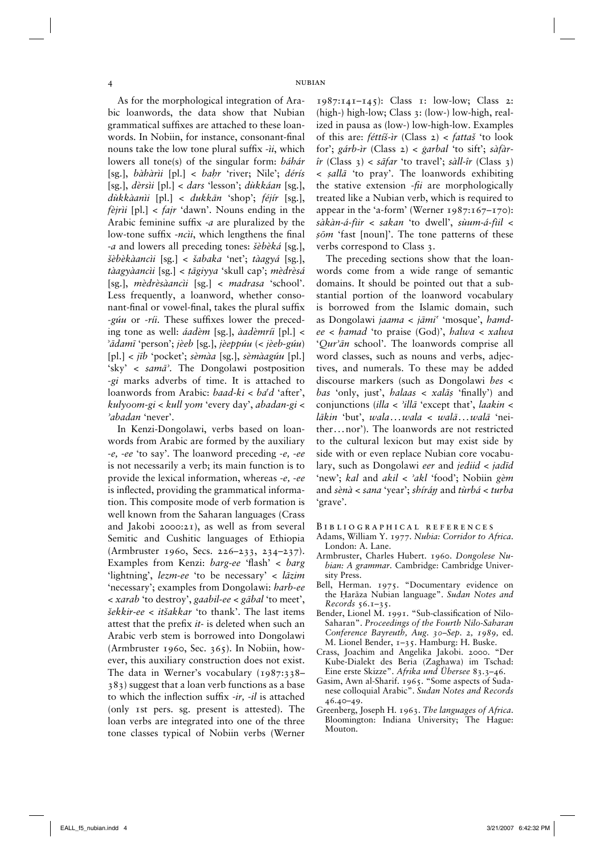As for the morphological integration of Arabic loanwords, the data show that Nubian grammatical suffixes are attached to these loanwords*.* In Nobiin, for instance, consonant-final nouns take the low tone plural suffix -*ìi*, which lowers all tone(s) of the singular form: *báhár*  [sg.], *bàhàrìi* [pl.] < *ba™r* 'river; Nile'; *dérís*  [sg.], *dèrsìi* [pl.] < *dars* 'lesson'; *dùkkáan* [sg.], *dùkkàanìi* [pl.] < *dukkàn* 'shop'; *féjír* [sg.], *fèjrìi* [pl.] < *fajr* 'dawn'. Nouns ending in the Arabic feminine suffix -*a* are pluralized by the low-tone suffix -*ncìi*, which lengthens the final -*a* and lowers all preceding tones: *šèbèká* [sg.], *šèbèkàancìi* [sg.] < *šabaka* 'net'; *tàagyá* [sg.], *tàagyàancìi* [sg.] < *†àgiyya* 'skull cap'; *mèdrèsá*  [sg.], *mèdrèsàancìi* [sg.] < *madrasa* 'school'. Less frequently, a loanword, whether consonant-final or vowel-final, takes the plural suffix -*gúu* or -*ríi*. These suffixes lower the preceding tone as well: *áadèm* [sg.], *àadèmríi* [pl.] < ±*àdamì* 'person'; *jèeb* [sg.], *jèeppúu* (< *jèeb-gúu*) [pl.] < *jìb* 'pocket'; *sèmàa* [sg.], *sèmàagúu* [pl.] 'sky' < *samà±*. The Dongolawi postposition -*gi* marks adverbs of time. It is attached to loanwords from Arabic: *baad-ki* < *ba≠d* 'after', *kulyoom-gi* < *kull yom* 'every day', *abadan-gi* < *±abadan* 'never'.

In Kenzi-Dongolawi, verbs based on loanwords from Arabic are formed by the auxiliary -*e,* -*ee* 'to say'. The loanword preceding -*e,* -*ee*  is not necessarily a verb; its main function is to provide the lexical information, whereas -*e,* -*ee*  is inflected, providing the grammatical information. This composite mode of verb formation is well known from the Saharan languages (Crass and Jakobi 2000:21), as well as from several Semitic and Cushitic languages of Ethiopia (Armbruster 1960, Secs. 226–233, 234–237). Examples from Kenzi: *barg-ee* 'flash' < *barg*  'lightning', *lezm-ee* 'to be necessary' < *làzim*  'necessary'; examples from Dongolawi: *harb-ee* < *xarab* 'to destroy', *gaabil-ee* < *gàbal* 'to meet', *šekkir-ee* < *itšakkar* 'to thank'. The last items attest that the prefix *it-* is deleted when such an Arabic verb stem is borrowed into Dongolawi (Armbruster 1960, Sec. 365). In Nobiin, however, this auxiliary construction does not exist. The data in Werner's vocabulary (1987:338– 383) suggest that a loan verb functions as a base to which the inflection suffix -*ir,* -*il* is attached (only 1st pers. sg. present is attested). The loan verbs are integrated into one of the three tone classes typical of Nobiin verbs (Werner 1987:141–145): Class 1: low-low; Class 2: (high-) high-low; Class 3: (low-) low-high, realized in pausa as (low-) low-high-low. Examples of this are: *féttíš-ìr* (Class 2) < *fattaš* 'to look for'; *gárb-ìr* (Class 2) *< ÿarbal* 'to sift'; *sàfàrîr* (Class 3) < *sàfar* 'to travel'; *sàll-îr* (Class 3) < *ßallà* 'to pray'. The loanwords exhibiting the stative extension -*fii* are morphologically treated like a Nubian verb, which is required to appear in the 'a-form' (Werner  $1987:167-170$ ): *sàkàn-á-fìir* < *sakan* 'to dwell', *sùum-á-fìil* < *ßòm* 'fast [noun]'. The tone patterns of these verbs correspond to Class 3.

The preceding sections show that the loanwords come from a wide range of semantic domains. It should be pointed out that a substantial portion of the loanword vocabulary is borrowed from the Islamic domain, such as Dongolawi *jaama* < *jàmi≠* 'mosque', *ham dee* < *™amad* 'to praise (God)', *halwa* < *xalwa*  '*Qur±àn* school'. The loanwords comprise all word classes, such as nouns and verbs, adjectives, and numerals. To these may be added discourse markers (such as Dongolawi *bes* < *bas* 'only, just', *halaas* < *xalàß* 'finally') and conjunctions (*illa* < *±illà* 'except that', *laakin* < *làkin* 'but', *wala . . . wala* < *walà . . . walà* 'neither *. . .* nor'). The loanwords are not restricted to the cultural lexicon but may exist side by side with or even replace Nubian core vocabulary, such as Dongolawi *eer* and *jediid* < *jadìd*  'new'; *kal* and *akil* < *±akl* 'food'; Nobiin *gèm* and *sènà* < *sana* 'year'; *shírá™* and *tùrbá* < *turba*  'grave'.

Bibliographical references

- Adams, William Y. 1977. *Nubia: Corridor to Africa*. London: A. Lane.
- Armbruster, Charles Hubert. 1960. *Dongolese Nubian: A grammar.* Cambridge: Cambridge University Press.
- Bell, Herman. 1975. "Documentary evidence on the Harāza Nubian language". *Sudan Notes and Records* 56.1–35.
- Bender, Lionel M. 1991. "Sub-classification of Nilo-Saharan". *Proceedings of the Fourth Nilo-Saharan Conference Bayreuth, Aug. 30–Sep. 2, 1989,* ed. M. Lionel Bender, 1–35. Hamburg: H. Buske.
- Crass, Joachim and Angelika Jakobi. 2000. "Der Kube-Dialekt des Beria (Zaghawa) im Tschad: Eine erste Skizze". *Afrika und Übersee* 83.3–46.
- Gasim, Awn al-Sharif. 1965. "Some aspects of Sudanese colloquial Arabic". *Sudan Notes and Records* 46.40–49.
- Greenberg, Joseph H. 1963. *The languages of Africa*. Bloomington: Indiana University; The Hague: Mouton.